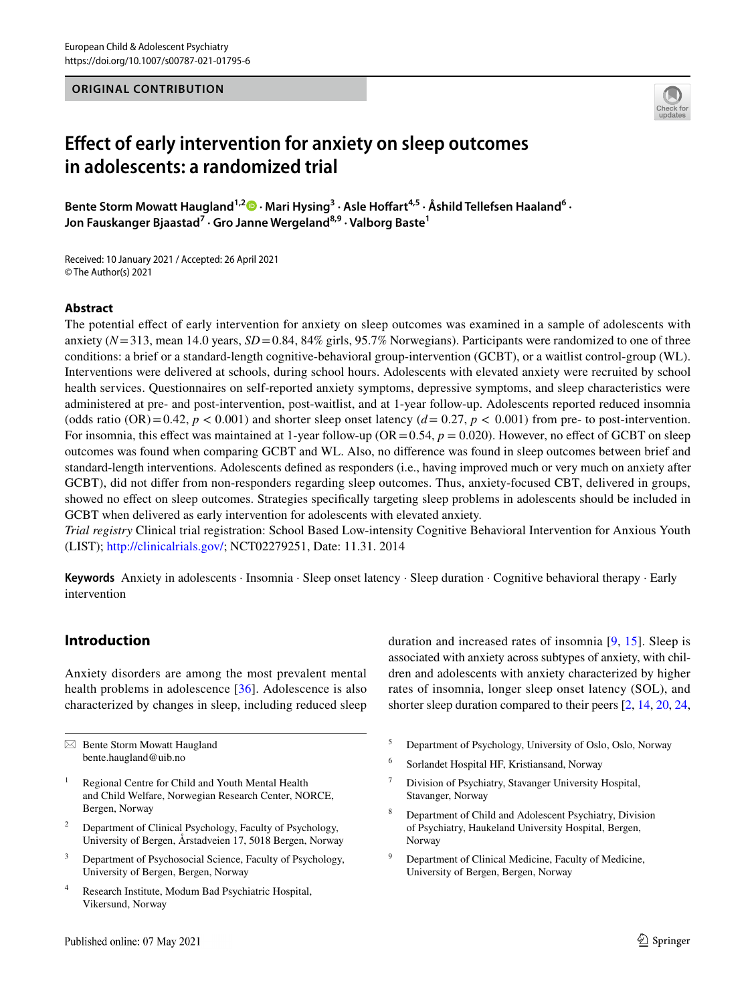## **ORIGINAL CONTRIBUTION**



# **Efect of early intervention for anxiety on sleep outcomes in adolescents: a randomized trial**

Bente Storm Mowatt Haugland<sup>1,[2](http://orcid.org/0000-0002-9114-4856)</sup> D · Mari Hysing<sup>3</sup> · Asle Hoffart<sup>4,5</sup> · Åshild Tellefsen Haaland<sup>6</sup> · **Jon Fauskanger Bjaastad7 · Gro Janne Wergeland8,9 · Valborg Baste1**

Received: 10 January 2021 / Accepted: 26 April 2021 © The Author(s) 2021

#### **Abstract**

The potential efect of early intervention for anxiety on sleep outcomes was examined in a sample of adolescents with anxiety (*N*=313, mean 14.0 years, *SD*=0.84, 84% girls, 95.7% Norwegians). Participants were randomized to one of three conditions: a brief or a standard-length cognitive-behavioral group-intervention (GCBT), or a waitlist control-group (WL). Interventions were delivered at schools, during school hours. Adolescents with elevated anxiety were recruited by school health services. Questionnaires on self-reported anxiety symptoms, depressive symptoms, and sleep characteristics were administered at pre- and post-intervention, post-waitlist, and at 1-year follow-up. Adolescents reported reduced insomnia (odds ratio  $(OR) = 0.42$ ,  $p < 0.001$ ) and shorter sleep onset latency  $(d = 0.27, p < 0.001)$  from pre- to post-intervention. For insomnia, this effect was maintained at 1-year follow-up (OR = 0.54,  $p = 0.020$ ). However, no effect of GCBT on sleep outcomes was found when comparing GCBT and WL. Also, no diference was found in sleep outcomes between brief and standard-length interventions. Adolescents defned as responders (i.e., having improved much or very much on anxiety after GCBT), did not difer from non-responders regarding sleep outcomes. Thus, anxiety-focused CBT, delivered in groups, showed no efect on sleep outcomes. Strategies specifcally targeting sleep problems in adolescents should be included in GCBT when delivered as early intervention for adolescents with elevated anxiety.

*Trial registry* Clinical trial registration: School Based Low-intensity Cognitive Behavioral Intervention for Anxious Youth (LIST);<http://clinicalrials.gov/>; NCT02279251, Date: 11.31. 2014

**Keywords** Anxiety in adolescents · Insomnia · Sleep onset latency · Sleep duration · Cognitive behavioral therapy · Early intervention

# **Introduction**

Anxiety disorders are among the most prevalent mental health problems in adolescence [[36](#page-14-0)]. Adolescence is also characterized by changes in sleep, including reduced sleep

 $\boxtimes$  Bente Storm Mowatt Haugland bente.haugland@uib.no

- Regional Centre for Child and Youth Mental Health and Child Welfare, Norwegian Research Center, NORCE, Bergen, Norway
- <sup>2</sup> Department of Clinical Psychology, Faculty of Psychology, University of Bergen, Årstadveien 17, 5018 Bergen, Norway
- <sup>3</sup> Department of Psychosocial Science, Faculty of Psychology, University of Bergen, Bergen, Norway
- <sup>4</sup> Research Institute, Modum Bad Psychiatric Hospital, Vikersund, Norway

duration and increased rates of insomnia [[9,](#page-13-0) [15\]](#page-13-1). Sleep is associated with anxiety across subtypes of anxiety, with children and adolescents with anxiety characterized by higher rates of insomnia, longer sleep onset latency (SOL), and shorter sleep duration compared to their peers [[2,](#page-13-2) [14](#page-13-3), [20](#page-13-4), [24,](#page-13-5)

- <sup>5</sup> Department of Psychology, University of Oslo, Oslo, Norway
- <sup>6</sup> Sorlandet Hospital HF, Kristiansand, Norway
- Division of Psychiatry, Stavanger University Hospital, Stavanger, Norway
- <sup>8</sup> Department of Child and Adolescent Psychiatry, Division of Psychiatry, Haukeland University Hospital, Bergen, Norway
- Department of Clinical Medicine, Faculty of Medicine, University of Bergen, Bergen, Norway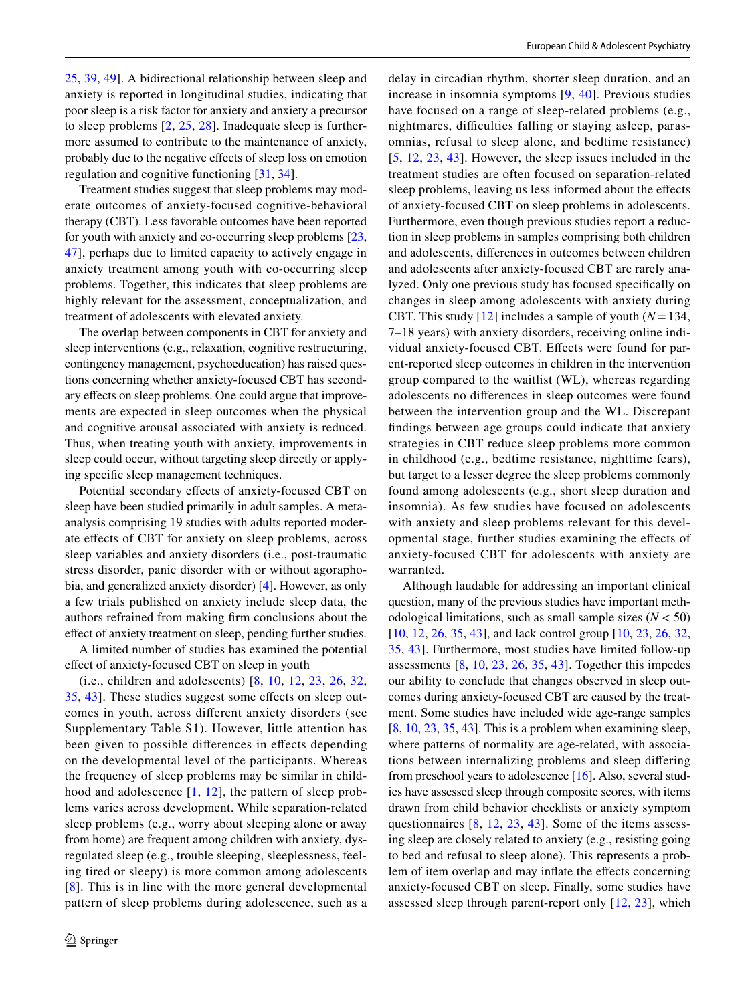[25](#page-13-6), [39](#page-14-1), [49\]](#page-14-2). A bidirectional relationship between sleep and anxiety is reported in longitudinal studies, indicating that poor sleep is a risk factor for anxiety and anxiety a precursor to sleep problems [\[2,](#page-13-2) [25](#page-13-6), [28](#page-13-7)]. Inadequate sleep is furthermore assumed to contribute to the maintenance of anxiety, probably due to the negative efects of sleep loss on emotion regulation and cognitive functioning [[31,](#page-13-8) [34\]](#page-14-3).

Treatment studies suggest that sleep problems may moderate outcomes of anxiety-focused cognitive-behavioral therapy (CBT). Less favorable outcomes have been reported for youth with anxiety and co-occurring sleep problems [[23,](#page-13-9) [47](#page-14-4)], perhaps due to limited capacity to actively engage in anxiety treatment among youth with co-occurring sleep problems. Together, this indicates that sleep problems are highly relevant for the assessment, conceptualization, and treatment of adolescents with elevated anxiety.

The overlap between components in CBT for anxiety and sleep interventions (e.g., relaxation, cognitive restructuring, contingency management, psychoeducation) has raised questions concerning whether anxiety-focused CBT has secondary effects on sleep problems. One could argue that improvements are expected in sleep outcomes when the physical and cognitive arousal associated with anxiety is reduced. Thus, when treating youth with anxiety, improvements in sleep could occur, without targeting sleep directly or applying specifc sleep management techniques.

Potential secondary efects of anxiety-focused CBT on sleep have been studied primarily in adult samples. A metaanalysis comprising 19 studies with adults reported moderate efects of CBT for anxiety on sleep problems, across sleep variables and anxiety disorders (i.e., post-traumatic stress disorder, panic disorder with or without agoraphobia, and generalized anxiety disorder) [\[4](#page-13-10)]. However, as only a few trials published on anxiety include sleep data, the authors refrained from making frm conclusions about the efect of anxiety treatment on sleep, pending further studies.

A limited number of studies has examined the potential efect of anxiety-focused CBT on sleep in youth

(i.e., children and adolescents) [[8](#page-13-11), [10,](#page-13-12) [12,](#page-13-13) [23](#page-13-9), [26](#page-13-14), [32,](#page-14-5) [35](#page-14-6), [43](#page-14-7)]. These studies suggest some efects on sleep outcomes in youth, across diferent anxiety disorders (see Supplementary Table S1). However, little attention has been given to possible differences in effects depending on the developmental level of the participants. Whereas the frequency of sleep problems may be similar in childhood and adolescence [[1,](#page-13-15) [12](#page-13-13)], the pattern of sleep problems varies across development. While separation-related sleep problems (e.g., worry about sleeping alone or away from home) are frequent among children with anxiety, dysregulated sleep (e.g., trouble sleeping, sleeplessness, feeling tired or sleepy) is more common among adolescents [[8\]](#page-13-11). This is in line with the more general developmental pattern of sleep problems during adolescence, such as a delay in circadian rhythm, shorter sleep duration, and an increase in insomnia symptoms [\[9,](#page-13-0) [40\]](#page-14-8). Previous studies have focused on a range of sleep-related problems (e.g., nightmares, difficulties falling or staying asleep, parasomnias, refusal to sleep alone, and bedtime resistance) [[5,](#page-13-16) [12,](#page-13-13) [23,](#page-13-9) [43\]](#page-14-7). However, the sleep issues included in the treatment studies are often focused on separation-related sleep problems, leaving us less informed about the efects of anxiety-focused CBT on sleep problems in adolescents. Furthermore, even though previous studies report a reduction in sleep problems in samples comprising both children and adolescents, diferences in outcomes between children and adolescents after anxiety-focused CBT are rarely analyzed. Only one previous study has focused specifcally on changes in sleep among adolescents with anxiety during CBT. This study [[12](#page-13-13)] includes a sample of youth (*N*=134, 7–18 years) with anxiety disorders, receiving online individual anxiety-focused CBT. Efects were found for parent-reported sleep outcomes in children in the intervention group compared to the waitlist (WL), whereas regarding adolescents no diferences in sleep outcomes were found between the intervention group and the WL. Discrepant fndings between age groups could indicate that anxiety strategies in CBT reduce sleep problems more common in childhood (e.g., bedtime resistance, nighttime fears), but target to a lesser degree the sleep problems commonly found among adolescents (e.g., short sleep duration and insomnia). As few studies have focused on adolescents with anxiety and sleep problems relevant for this developmental stage, further studies examining the efects of anxiety-focused CBT for adolescents with anxiety are warranted.

Although laudable for addressing an important clinical question, many of the previous studies have important methodological limitations, such as small sample sizes (*N* < 50) [[10,](#page-13-12) [12,](#page-13-13) [26](#page-13-14), [35](#page-14-6), [43](#page-14-7)], and lack control group [[10](#page-13-12), [23](#page-13-9), [26,](#page-13-14) [32,](#page-14-5) [35](#page-14-6), [43\]](#page-14-7). Furthermore, most studies have limited follow-up assessments [[8,](#page-13-11) [10](#page-13-12), [23,](#page-13-9) [26,](#page-13-14) [35](#page-14-6), [43\]](#page-14-7). Together this impedes our ability to conclude that changes observed in sleep outcomes during anxiety-focused CBT are caused by the treatment. Some studies have included wide age-range samples  $[8, 10, 23, 35, 43]$  $[8, 10, 23, 35, 43]$  $[8, 10, 23, 35, 43]$  $[8, 10, 23, 35, 43]$  $[8, 10, 23, 35, 43]$  $[8, 10, 23, 35, 43]$  $[8, 10, 23, 35, 43]$  $[8, 10, 23, 35, 43]$  $[8, 10, 23, 35, 43]$ . This is a problem when examining sleep, where patterns of normality are age-related, with associations between internalizing problems and sleep difering from preschool years to adolescence [[16\]](#page-13-17). Also, several studies have assessed sleep through composite scores, with items drawn from child behavior checklists or anxiety symptom questionnaires [[8,](#page-13-11) [12,](#page-13-13) [23](#page-13-9), [43](#page-14-7)]. Some of the items assessing sleep are closely related to anxiety (e.g., resisting going to bed and refusal to sleep alone). This represents a problem of item overlap and may inflate the effects concerning anxiety-focused CBT on sleep. Finally, some studies have assessed sleep through parent-report only [\[12,](#page-13-13) [23](#page-13-9)], which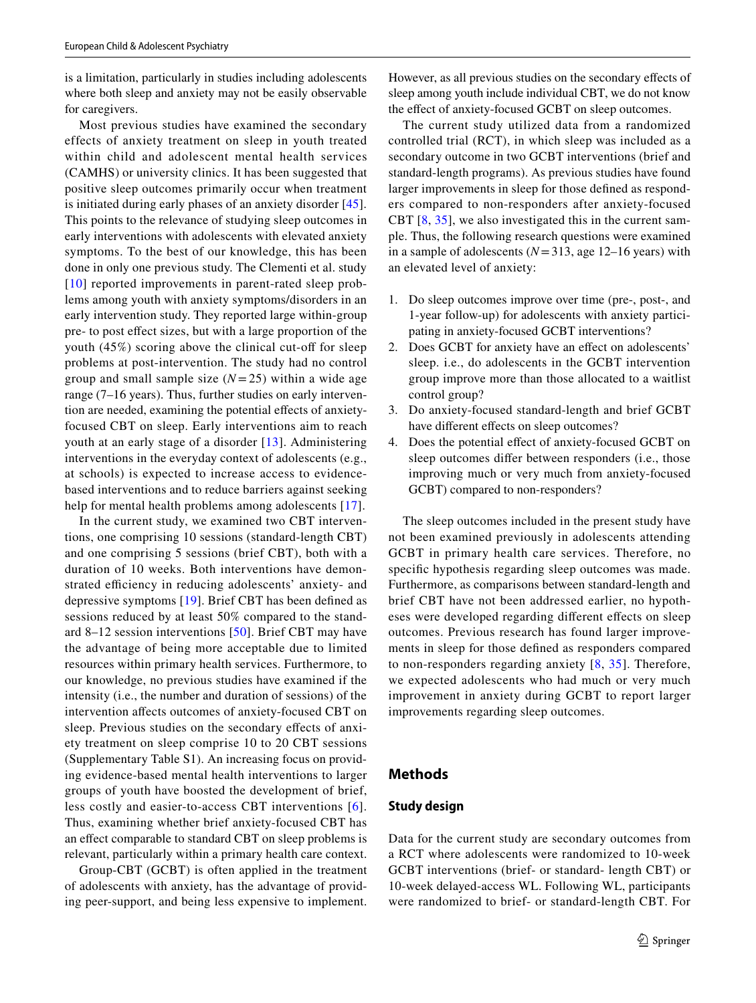is a limitation, particularly in studies including adolescents where both sleep and anxiety may not be easily observable for caregivers.

Most previous studies have examined the secondary effects of anxiety treatment on sleep in youth treated within child and adolescent mental health services (CAMHS) or university clinics. It has been suggested that positive sleep outcomes primarily occur when treatment is initiated during early phases of an anxiety disorder [[45](#page-14-9)]. This points to the relevance of studying sleep outcomes in early interventions with adolescents with elevated anxiety symptoms. To the best of our knowledge, this has been done in only one previous study. The Clementi et al. study [[10](#page-13-12)] reported improvements in parent-rated sleep problems among youth with anxiety symptoms/disorders in an early intervention study. They reported large within-group pre- to post efect sizes, but with a large proportion of the youth  $(45\%)$  scoring above the clinical cut-off for sleep problems at post-intervention. The study had no control group and small sample size  $(N=25)$  within a wide age range (7–16 years). Thus, further studies on early intervention are needed, examining the potential effects of anxietyfocused CBT on sleep. Early interventions aim to reach youth at an early stage of a disorder [\[13\]](#page-13-18). Administering interventions in the everyday context of adolescents (e.g., at schools) is expected to increase access to evidencebased interventions and to reduce barriers against seeking help for mental health problems among adolescents [[17\]](#page-13-19).

In the current study, we examined two CBT interventions, one comprising 10 sessions (standard-length CBT) and one comprising 5 sessions (brief CBT), both with a duration of 10 weeks. Both interventions have demonstrated efficiency in reducing adolescents' anxiety- and depressive symptoms [[19](#page-13-20)]. Brief CBT has been defned as sessions reduced by at least 50% compared to the standard 8–12 session interventions [[50](#page-14-10)]. Brief CBT may have the advantage of being more acceptable due to limited resources within primary health services. Furthermore, to our knowledge, no previous studies have examined if the intensity (i.e., the number and duration of sessions) of the intervention afects outcomes of anxiety-focused CBT on sleep. Previous studies on the secondary effects of anxiety treatment on sleep comprise 10 to 20 CBT sessions (Supplementary Table S1). An increasing focus on providing evidence-based mental health interventions to larger groups of youth have boosted the development of brief, less costly and easier-to-access CBT interventions [[6\]](#page-13-21). Thus, examining whether brief anxiety-focused CBT has an efect comparable to standard CBT on sleep problems is relevant, particularly within a primary health care context.

Group-CBT (GCBT) is often applied in the treatment of adolescents with anxiety, has the advantage of providing peer-support, and being less expensive to implement. However, as all previous studies on the secondary efects of sleep among youth include individual CBT, we do not know the efect of anxiety-focused GCBT on sleep outcomes.

The current study utilized data from a randomized controlled trial (RCT), in which sleep was included as a secondary outcome in two GCBT interventions (brief and standard-length programs). As previous studies have found larger improvements in sleep for those defned as responders compared to non-responders after anxiety-focused CBT [\[8](#page-13-11), [35](#page-14-6)], we also investigated this in the current sample. Thus, the following research questions were examined in a sample of adolescents (*N*=313, age 12–16 years) with an elevated level of anxiety:

- 1. Do sleep outcomes improve over time (pre-, post-, and 1-year follow-up) for adolescents with anxiety participating in anxiety-focused GCBT interventions?
- 2. Does GCBT for anxiety have an efect on adolescents' sleep. i.e., do adolescents in the GCBT intervention group improve more than those allocated to a waitlist control group?
- 3. Do anxiety-focused standard-length and brief GCBT have different effects on sleep outcomes?
- 4. Does the potential efect of anxiety-focused GCBT on sleep outcomes difer between responders (i.e., those improving much or very much from anxiety-focused GCBT) compared to non-responders?

The sleep outcomes included in the present study have not been examined previously in adolescents attending GCBT in primary health care services. Therefore, no specifc hypothesis regarding sleep outcomes was made. Furthermore, as comparisons between standard-length and brief CBT have not been addressed earlier, no hypotheses were developed regarding diferent efects on sleep outcomes. Previous research has found larger improvements in sleep for those defned as responders compared to non-responders regarding anxiety [[8,](#page-13-11) [35](#page-14-6)]. Therefore, we expected adolescents who had much or very much improvement in anxiety during GCBT to report larger improvements regarding sleep outcomes.

## **Methods**

#### **Study design**

Data for the current study are secondary outcomes from a RCT where adolescents were randomized to 10-week GCBT interventions (brief- or standard- length CBT) or 10-week delayed-access WL. Following WL, participants were randomized to brief- or standard-length CBT. For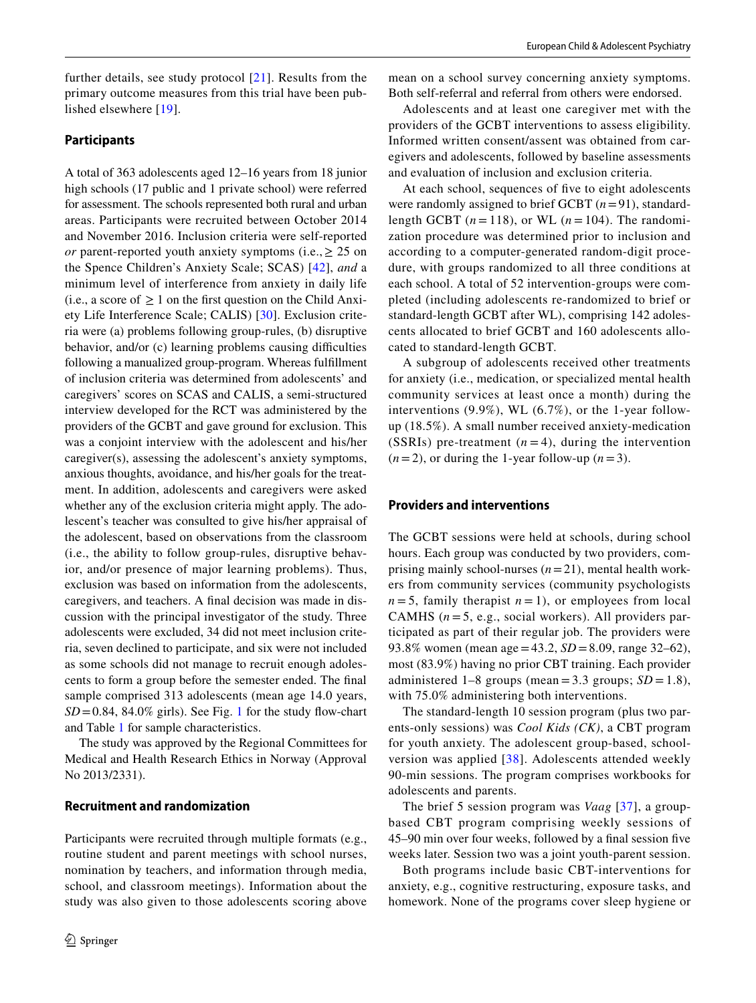further details, see study protocol [[21](#page-13-22)]. Results from the primary outcome measures from this trial have been published elsewhere [[19\]](#page-13-20).

#### **Participants**

A total of 363 adolescents aged 12–16 years from 18 junior high schools (17 public and 1 private school) were referred for assessment. The schools represented both rural and urban areas. Participants were recruited between October 2014 and November 2016. Inclusion criteria were self-reported *or* parent-reported youth anxiety symptoms (i.e.,  $\geq 25$  on the Spence Children's Anxiety Scale; SCAS) [\[42\]](#page-14-11), *and* a minimum level of interference from anxiety in daily life (i.e., a score of  $\geq 1$  on the first question on the Child Anxiety Life Interference Scale; CALIS) [[30](#page-13-23)]. Exclusion criteria were (a) problems following group-rules, (b) disruptive behavior, and/or (c) learning problems causing difficulties following a manualized group-program. Whereas fulfllment of inclusion criteria was determined from adolescents' and caregivers' scores on SCAS and CALIS, a semi-structured interview developed for the RCT was administered by the providers of the GCBT and gave ground for exclusion. This was a conjoint interview with the adolescent and his/her caregiver(s), assessing the adolescent's anxiety symptoms, anxious thoughts, avoidance, and his/her goals for the treatment. In addition, adolescents and caregivers were asked whether any of the exclusion criteria might apply. The adolescent's teacher was consulted to give his/her appraisal of the adolescent, based on observations from the classroom (i.e., the ability to follow group-rules, disruptive behavior, and/or presence of major learning problems). Thus, exclusion was based on information from the adolescents, caregivers, and teachers. A fnal decision was made in discussion with the principal investigator of the study. Three adolescents were excluded, 34 did not meet inclusion criteria, seven declined to participate, and six were not included as some schools did not manage to recruit enough adolescents to form a group before the semester ended. The fnal sample comprised 313 adolescents (mean age 14.0 years,  $SD = 0.84$ , 84.0% girls). See Fig. [1](#page-4-0) for the study flow-chart and Table [1](#page-5-0) for sample characteristics.

The study was approved by the Regional Committees for Medical and Health Research Ethics in Norway (Approval No 2013/2331).

#### **Recruitment and randomization**

Participants were recruited through multiple formats (e.g., routine student and parent meetings with school nurses, nomination by teachers, and information through media, school, and classroom meetings). Information about the study was also given to those adolescents scoring above

mean on a school survey concerning anxiety symptoms. Both self-referral and referral from others were endorsed.

Adolescents and at least one caregiver met with the providers of the GCBT interventions to assess eligibility. Informed written consent/assent was obtained from caregivers and adolescents, followed by baseline assessments and evaluation of inclusion and exclusion criteria.

At each school, sequences of fve to eight adolescents were randomly assigned to brief GCBT (*n*=91), standardlength GCBT  $(n = 118)$ , or WL  $(n = 104)$ . The randomization procedure was determined prior to inclusion and according to a computer-generated random-digit procedure, with groups randomized to all three conditions at each school. A total of 52 intervention-groups were completed (including adolescents re-randomized to brief or standard-length GCBT after WL), comprising 142 adolescents allocated to brief GCBT and 160 adolescents allocated to standard-length GCBT.

A subgroup of adolescents received other treatments for anxiety (i.e., medication, or specialized mental health community services at least once a month) during the interventions (9.9%), WL (6.7%), or the 1-year followup (18.5%). A small number received anxiety-medication (SSRIs) pre-treatment  $(n=4)$ , during the intervention  $(n=2)$ , or during the 1-year follow-up  $(n=3)$ .

#### **Providers and interventions**

The GCBT sessions were held at schools, during school hours. Each group was conducted by two providers, comprising mainly school-nurses (*n*=21), mental health workers from community services (community psychologists  $n = 5$ , family therapist  $n = 1$ ), or employees from local CAMHS  $(n=5, e.g., social workers)$ . All providers participated as part of their regular job. The providers were 93.8% women (mean age=43.2, *SD* =8.09, range 32–62), most (83.9%) having no prior CBT training. Each provider administered  $1-8$  groups (mean = 3.3 groups;  $SD = 1.8$ ), with 75.0% administering both interventions.

The standard-length 10 session program (plus two parents-only sessions) was *Cool Kids (CK)*, a CBT program for youth anxiety. The adolescent group-based, schoolversion was applied [[38](#page-14-12)]. Adolescents attended weekly 90-min sessions. The program comprises workbooks for adolescents and parents.

The brief 5 session program was *Vaag* [[37](#page-14-13)], a groupbased CBT program comprising weekly sessions of 45–90 min over four weeks, followed by a fnal session fve weeks later. Session two was a joint youth-parent session.

Both programs include basic CBT-interventions for anxiety, e.g., cognitive restructuring, exposure tasks, and homework. None of the programs cover sleep hygiene or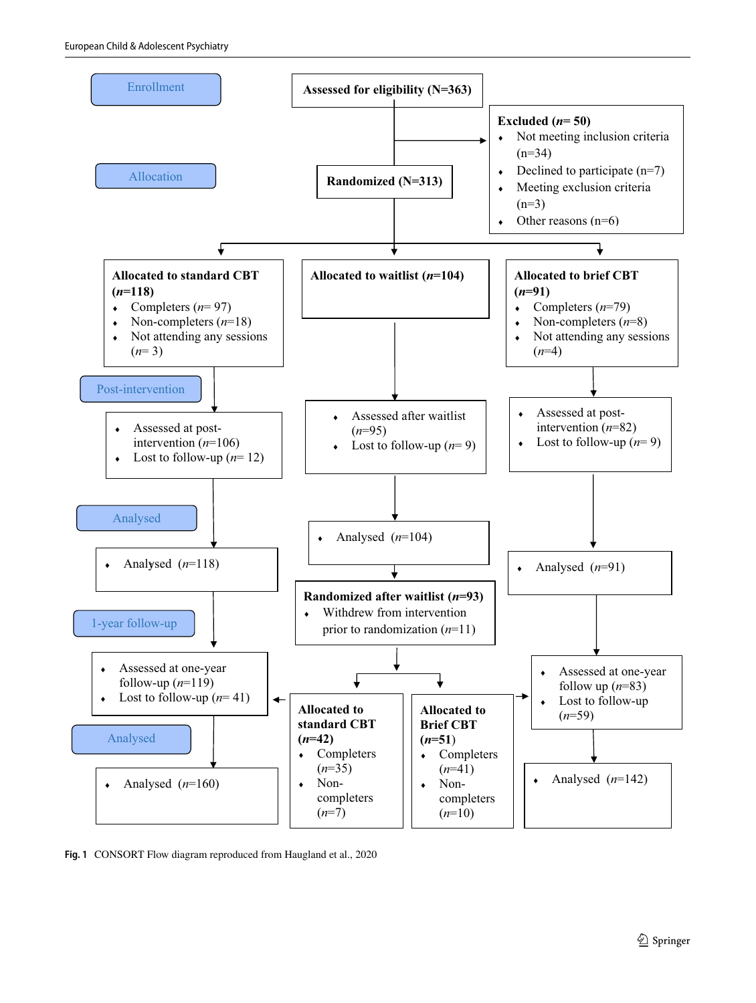

<span id="page-4-0"></span>**Fig. 1** CONSORT Flow diagram reproduced from Haugland et al., 2020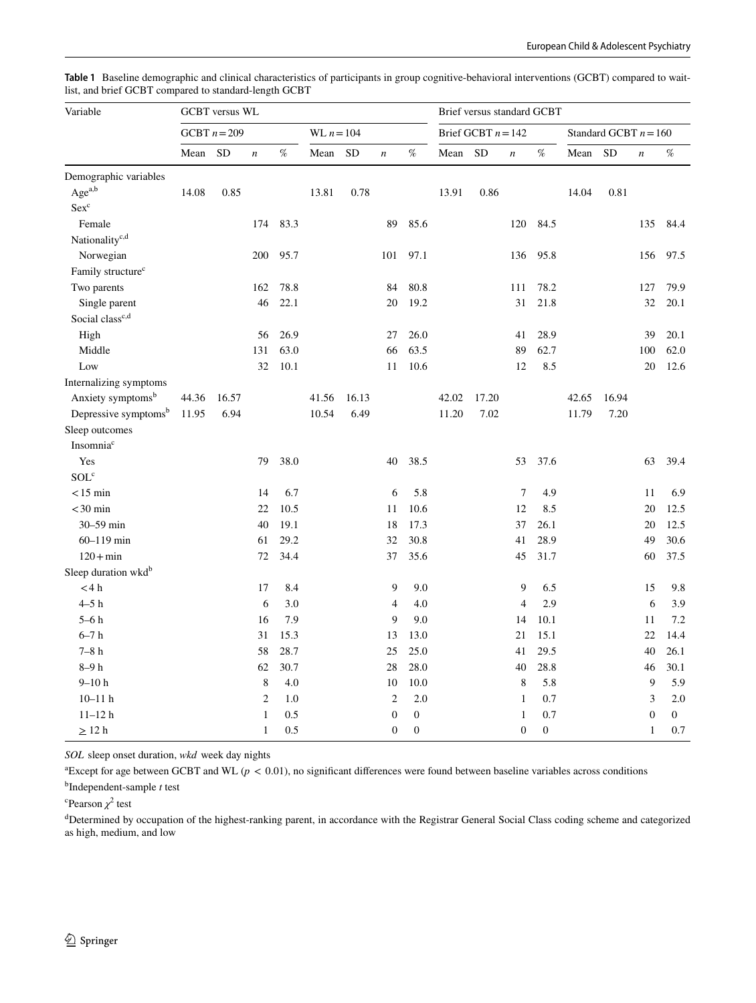| Variable                         | <b>GCBT</b> versus WL |                |                  |      |              |           |                  | Brief versus standard GCBT |                      |           |                  |                                                                                                   |                         |           |                  |                                                                                                                              |
|----------------------------------|-----------------------|----------------|------------------|------|--------------|-----------|------------------|----------------------------|----------------------|-----------|------------------|---------------------------------------------------------------------------------------------------|-------------------------|-----------|------------------|------------------------------------------------------------------------------------------------------------------------------|
|                                  |                       | GCBT $n = 209$ |                  |      | WL $n = 104$ |           |                  |                            | Brief GCBT $n = 142$ |           |                  |                                                                                                   | Standard GCBT $n = 160$ |           |                  |                                                                                                                              |
|                                  | Mean                  | <b>SD</b>      | $\boldsymbol{n}$ | %    | Mean         | <b>SD</b> | $\boldsymbol{n}$ | %                          | Mean                 | <b>SD</b> | $\boldsymbol{n}$ | $% \mathcal{P}_{\mathrm{C}}^{\mathrm{C}}(\theta) = \mathcal{P}_{\mathrm{C}}^{\mathrm{C}}(\theta)$ | Mean                    | <b>SD</b> | $\boldsymbol{n}$ | $% \mathcal{P}_{\mathrm{C}}^{\mathrm{C}}(\mathcal{P}_{\mathrm{C}}^{\mathrm{C}}(\mathcal{P}_{\mathrm{C}}^{\mathrm{C}})^{-1})$ |
| Demographic variables            |                       |                |                  |      |              |           |                  |                            |                      |           |                  |                                                                                                   |                         |           |                  |                                                                                                                              |
| Agea,b                           | 14.08                 | 0.85           |                  |      | 13.81        | 0.78      |                  |                            | 13.91                | 0.86      |                  |                                                                                                   | 14.04                   | 0.81      |                  |                                                                                                                              |
| $Sex^c$                          |                       |                |                  |      |              |           |                  |                            |                      |           |                  |                                                                                                   |                         |           |                  |                                                                                                                              |
| Female                           |                       |                | 174              | 83.3 |              |           | 89               | 85.6                       |                      |           | 120              | 84.5                                                                                              |                         |           | 135              | 84.4                                                                                                                         |
| Nationality <sup>c,d</sup>       |                       |                |                  |      |              |           |                  |                            |                      |           |                  |                                                                                                   |                         |           |                  |                                                                                                                              |
| Norwegian                        |                       |                | 200              | 95.7 |              |           | 101              | 97.1                       |                      |           | 136              | 95.8                                                                                              |                         |           | 156              | 97.5                                                                                                                         |
| Family structure <sup>c</sup>    |                       |                |                  |      |              |           |                  |                            |                      |           |                  |                                                                                                   |                         |           |                  |                                                                                                                              |
| Two parents                      |                       |                | 162              | 78.8 |              |           | 84               | 80.8                       |                      |           | 111              | 78.2                                                                                              |                         |           | 127              | 79.9                                                                                                                         |
| Single parent                    |                       |                | 46               | 22.1 |              |           | 20               | 19.2                       |                      |           | 31               | 21.8                                                                                              |                         |           | 32               | 20.1                                                                                                                         |
| Social class <sup>c,d</sup>      |                       |                |                  |      |              |           |                  |                            |                      |           |                  |                                                                                                   |                         |           |                  |                                                                                                                              |
| High                             |                       |                | 56               | 26.9 |              |           | 27               | 26.0                       |                      |           | 41               | 28.9                                                                                              |                         |           | 39               | 20.1                                                                                                                         |
| Middle                           |                       |                | 131              | 63.0 |              |           | 66               | 63.5                       |                      |           | 89               | 62.7                                                                                              |                         |           | 100              | 62.0                                                                                                                         |
| Low                              |                       |                | 32               | 10.1 |              |           | 11               | 10.6                       |                      |           | 12               | 8.5                                                                                               |                         |           | 20               | 12.6                                                                                                                         |
| Internalizing symptoms           |                       |                |                  |      |              |           |                  |                            |                      |           |                  |                                                                                                   |                         |           |                  |                                                                                                                              |
| Anxiety symptoms <sup>b</sup>    | 44.36                 | 16.57          |                  |      | 41.56        | 16.13     |                  |                            | 42.02                | 17.20     |                  |                                                                                                   | 42.65                   | 16.94     |                  |                                                                                                                              |
| Depressive symptoms <sup>b</sup> | 11.95                 | 6.94           |                  |      | 10.54        | 6.49      |                  |                            | 11.20                | 7.02      |                  |                                                                                                   | 11.79                   | 7.20      |                  |                                                                                                                              |
| Sleep outcomes                   |                       |                |                  |      |              |           |                  |                            |                      |           |                  |                                                                                                   |                         |           |                  |                                                                                                                              |
| Insomnia <sup>c</sup>            |                       |                |                  |      |              |           |                  |                            |                      |           |                  |                                                                                                   |                         |           |                  |                                                                                                                              |
| Yes                              |                       |                | 79               | 38.0 |              |           | 40               | 38.5                       |                      |           | 53               | 37.6                                                                                              |                         |           | 63               | 39.4                                                                                                                         |
| SOL <sup>c</sup>                 |                       |                |                  |      |              |           |                  |                            |                      |           |                  |                                                                                                   |                         |           |                  |                                                                                                                              |
| $<$ 15 min                       |                       |                | 14               | 6.7  |              |           | 6                | 5.8                        |                      |           | 7                | 4.9                                                                                               |                         |           | 11               | 6.9                                                                                                                          |
| $<$ 30 min                       |                       |                | 22               | 10.5 |              |           | 11               | 10.6                       |                      |           | 12               | 8.5                                                                                               |                         |           | 20               | 12.5                                                                                                                         |
| 30-59 min                        |                       |                | 40               | 19.1 |              |           | 18               | 17.3                       |                      |           | 37               | 26.1                                                                                              |                         |           | 20               | 12.5                                                                                                                         |
| $60 - 119$ min                   |                       |                | 61               | 29.2 |              |           | 32               | 30.8                       |                      |           | 41               | 28.9                                                                                              |                         |           | 49               | 30.6                                                                                                                         |
| $120 + min$                      |                       |                | 72               | 34.4 |              |           | 37               | 35.6                       |                      |           | 45               | 31.7                                                                                              |                         |           | 60               | 37.5                                                                                                                         |
| Sleep duration wkd <sup>b</sup>  |                       |                |                  |      |              |           |                  |                            |                      |           |                  |                                                                                                   |                         |           |                  |                                                                                                                              |
| $<$ 4 h                          |                       |                | 17               | 8.4  |              |           | 9                | 9.0                        |                      |           | 9                | 6.5                                                                                               |                         |           | 15               | 9.8                                                                                                                          |
| $4-5h$                           |                       |                | 6                | 3.0  |              |           | $\overline{4}$   | 4.0                        |                      |           | $\overline{4}$   | 2.9                                                                                               |                         |           | 6                | 3.9                                                                                                                          |
| $5-6h$                           |                       |                | 16               | 7.9  |              |           | 9                | 9.0                        |                      |           | 14               | 10.1                                                                                              |                         |           | 11               | 7.2                                                                                                                          |
| $6-7h$                           |                       |                | 31               | 15.3 |              |           | 13               | 13.0                       |                      |           | 21               | 15.1                                                                                              |                         |           | 22               | 14.4                                                                                                                         |
| $7-8h$                           |                       |                | 58               | 28.7 |              |           | 25               | 25.0                       |                      |           | 41               | 29.5                                                                                              |                         |           | 40               | 26.1                                                                                                                         |
| $8-9h$                           |                       |                | 62               | 30.7 |              |           | 28               | 28.0                       |                      |           | 40               | 28.8                                                                                              |                         |           | 46               | 30.1                                                                                                                         |
| $9 - 10h$                        |                       |                | 8                | 4.0  |              |           | 10               | 10.0                       |                      |           | 8                | 5.8                                                                                               |                         |           | 9                | 5.9                                                                                                                          |
| $10 - 11$ h                      |                       |                | $\overline{c}$   | 1.0  |              |           | $\overline{c}$   | 2.0                        |                      |           | $\mathbf{1}$     | 0.7                                                                                               |                         |           | 3                | 2.0                                                                                                                          |
| $11 - 12h$                       |                       |                | 1                | 0.5  |              |           | $\boldsymbol{0}$ | $\boldsymbol{0}$           |                      |           | $\mathbf{1}$     | 0.7                                                                                               |                         |           | $\boldsymbol{0}$ | $\overline{0}$                                                                                                               |
| $\geq$ 12 h                      |                       |                | $\mathbf{1}$     | 0.5  |              |           | $\boldsymbol{0}$ | $\boldsymbol{0}$           |                      |           | $\mathbf{0}$     | $\boldsymbol{0}$                                                                                  |                         |           | $\mathbf{1}$     | 0.7                                                                                                                          |

<span id="page-5-0"></span>**Table 1** Baseline demographic and clinical characteristics of participants in group cognitive-behavioral interventions (GCBT) compared to waitlist, and brief GCBT compared to standard-length GCBT

*SOL* sleep onset duration, *wkd* week day nights

 ${}^{\text{a}}$ Except for age between GCBT and WL ( $p < 0.01$ ), no significant differences were found between baseline variables across conditions

b Independent-sample *t* test

<sup>c</sup>Pearson  $\chi^2$  test

<sup>d</sup>Determined by occupation of the highest-ranking parent, in accordance with the Registrar General Social Class coding scheme and categorized as high, medium, and low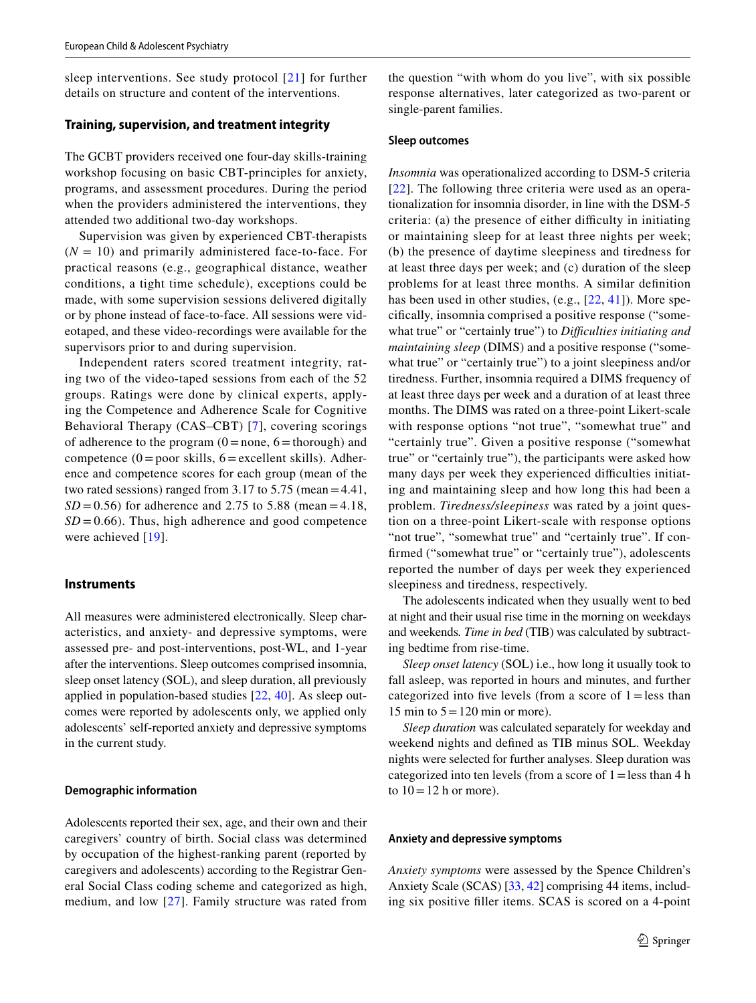sleep interventions. See study protocol [[21](#page-13-22)] for further details on structure and content of the interventions.

#### **Training, supervision, and treatment integrity**

The GCBT providers received one four-day skills-training workshop focusing on basic CBT-principles for anxiety, programs, and assessment procedures. During the period when the providers administered the interventions, they attended two additional two-day workshops.

Supervision was given by experienced CBT-therapists  $(N = 10)$  and primarily administered face-to-face. For practical reasons (e.g., geographical distance, weather conditions, a tight time schedule), exceptions could be made, with some supervision sessions delivered digitally or by phone instead of face-to-face. All sessions were videotaped, and these video-recordings were available for the supervisors prior to and during supervision.

Independent raters scored treatment integrity, rating two of the video-taped sessions from each of the 52 groups. Ratings were done by clinical experts, applying the Competence and Adherence Scale for Cognitive Behavioral Therapy (CAS–CBT) [[7\]](#page-13-24), covering scorings of adherence to the program  $(0=none, 6=thorough)$  and competence  $(0 = poor skills, 6 = excellent skills)$ . Adherence and competence scores for each group (mean of the two rated sessions) ranged from 3.17 to 5.75 (mean=4.41,  $SD = 0.56$ ) for adherence and 2.75 to 5.88 (mean = 4.18,  $SD = 0.66$ ). Thus, high adherence and good competence were achieved [[19\]](#page-13-20).

#### **Instruments**

All measures were administered electronically. Sleep characteristics, and anxiety- and depressive symptoms, were assessed pre- and post-interventions, post-WL, and 1-year after the interventions. Sleep outcomes comprised insomnia, sleep onset latency (SOL), and sleep duration, all previously applied in population-based studies [[22](#page-13-25), [40\]](#page-14-8). As sleep outcomes were reported by adolescents only, we applied only adolescents' self-reported anxiety and depressive symptoms in the current study.

#### **Demographic information**

Adolescents reported their sex, age, and their own and their caregivers' country of birth. Social class was determined by occupation of the highest-ranking parent (reported by caregivers and adolescents) according to the Registrar General Social Class coding scheme and categorized as high, medium, and low [[27\]](#page-13-26). Family structure was rated from

the question "with whom do you live", with six possible response alternatives, later categorized as two-parent or single-parent families.

#### **Sleep outcomes**

*Insomnia* was operationalized according to DSM-5 criteria [[22](#page-13-25)]. The following three criteria were used as an operationalization for insomnia disorder, in line with the DSM-5  $c$ riteria: (a) the presence of either difficulty in initiating or maintaining sleep for at least three nights per week; (b) the presence of daytime sleepiness and tiredness for at least three days per week; and (c) duration of the sleep problems for at least three months. A similar defnition has been used in other studies, (e.g., [[22,](#page-13-25) [41\]](#page-14-14)). More specifcally, insomnia comprised a positive response ("somewhat true" or "certainly true") to *Difficulties initiating and maintaining sleep* (DIMS) and a positive response ("somewhat true" or "certainly true") to a joint sleepiness and/or tiredness. Further, insomnia required a DIMS frequency of at least three days per week and a duration of at least three months. The DIMS was rated on a three-point Likert-scale with response options "not true", "somewhat true" and "certainly true". Given a positive response ("somewhat true" or "certainly true"), the participants were asked how many days per week they experienced difficulties initiating and maintaining sleep and how long this had been a problem. *Tiredness/sleepiness* was rated by a joint question on a three-point Likert-scale with response options "not true", "somewhat true" and "certainly true". If confrmed ("somewhat true" or "certainly true"), adolescents reported the number of days per week they experienced sleepiness and tiredness, respectively.

The adolescents indicated when they usually went to bed at night and their usual rise time in the morning on weekdays and weekends*. Time in bed* (TIB) was calculated by subtracting bedtime from rise-time.

*Sleep onset latency* (SOL) i.e., how long it usually took to fall asleep, was reported in hours and minutes, and further categorized into five levels (from a score of  $1 =$  less than 15 min to  $5 = 120$  min or more).

*Sleep duration* was calculated separately for weekday and weekend nights and defned as TIB minus SOL. Weekday nights were selected for further analyses. Sleep duration was categorized into ten levels (from a score of  $1 =$ less than 4 h to  $10=12$  h or more).

#### **Anxiety and depressive symptoms**

*Anxiety symptoms* were assessed by the Spence Children's Anxiety Scale (SCAS) [[33,](#page-14-15) [42](#page-14-11)] comprising 44 items, including six positive fller items. SCAS is scored on a 4-point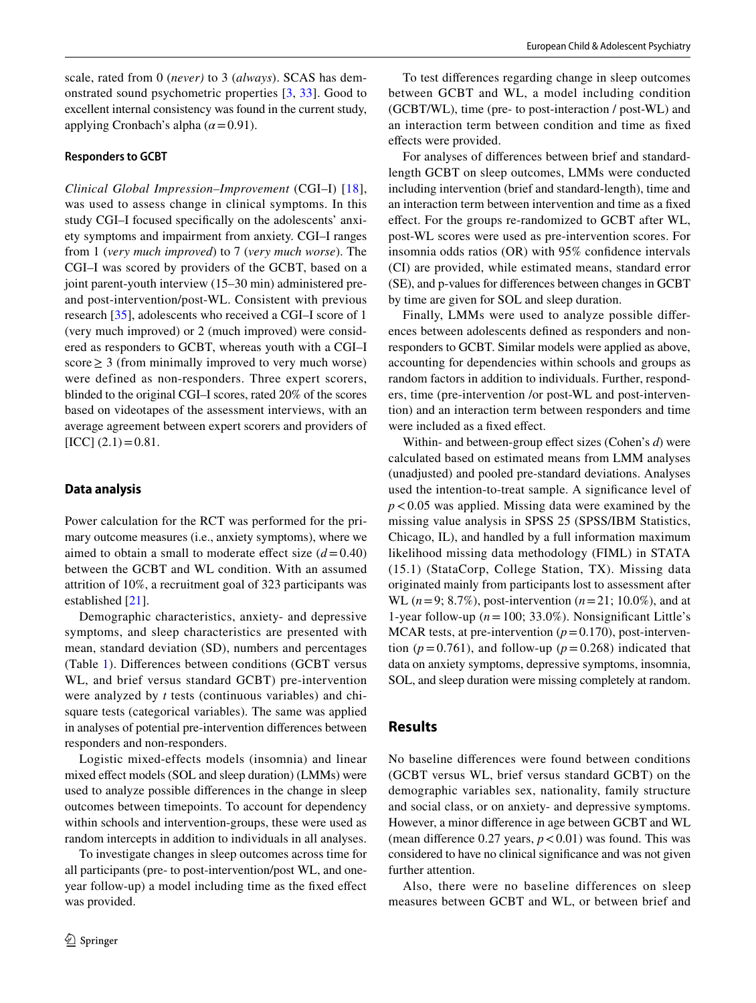scale, rated from 0 (*never)* to 3 (*always*). SCAS has demonstrated sound psychometric properties [\[3,](#page-13-27) [33](#page-14-15)]. Good to excellent internal consistency was found in the current study, applying Cronbach's alpha (*α*=0.91).

#### **Responders to GCBT**

*Clinical Global Impression–Improvement* (CGI–I) [[18](#page-13-28)], was used to assess change in clinical symptoms. In this study CGI–I focused specifcally on the adolescents' anxiety symptoms and impairment from anxiety. CGI–I ranges from 1 (*very much improved*) to 7 (*very much worse*). The CGI–I was scored by providers of the GCBT, based on a joint parent-youth interview (15–30 min) administered preand post-intervention/post-WL. Consistent with previous research [\[35](#page-14-6)], adolescents who received a CGI–I score of 1 (very much improved) or 2 (much improved) were considered as responders to GCBT, whereas youth with a CGI–I score  $\geq$  3 (from minimally improved to very much worse) were defined as non-responders. Three expert scorers, blinded to the original CGI–I scores, rated 20% of the scores based on videotapes of the assessment interviews, with an average agreement between expert scorers and providers of  $[ICC]$   $(2.1)=0.81$ .

## **Data analysis**

Power calculation for the RCT was performed for the primary outcome measures (i.e., anxiety symptoms), where we aimed to obtain a small to moderate effect size  $(d=0.40)$ between the GCBT and WL condition. With an assumed attrition of 10%, a recruitment goal of 323 participants was established [[21\]](#page-13-22).

Demographic characteristics, anxiety- and depressive symptoms, and sleep characteristics are presented with mean, standard deviation (SD), numbers and percentages (Table [1\)](#page-5-0). Diferences between conditions (GCBT versus WL, and brief versus standard GCBT) pre-intervention were analyzed by *t* tests (continuous variables) and chisquare tests (categorical variables). The same was applied in analyses of potential pre-intervention diferences between responders and non-responders.

Logistic mixed-effects models (insomnia) and linear mixed efect models (SOL and sleep duration) (LMMs) were used to analyze possible diferences in the change in sleep outcomes between timepoints. To account for dependency within schools and intervention-groups, these were used as random intercepts in addition to individuals in all analyses.

To investigate changes in sleep outcomes across time for all participants (pre- to post-intervention/post WL, and oneyear follow-up) a model including time as the fxed efect was provided.

To test diferences regarding change in sleep outcomes between GCBT and WL, a model including condition (GCBT/WL), time (pre- to post-interaction / post-WL) and an interaction term between condition and time as fxed efects were provided.

For analyses of diferences between brief and standardlength GCBT on sleep outcomes, LMMs were conducted including intervention (brief and standard-length), time and an interaction term between intervention and time as a fxed efect. For the groups re-randomized to GCBT after WL, post-WL scores were used as pre-intervention scores. For insomnia odds ratios (OR) with 95% confdence intervals (CI) are provided, while estimated means, standard error (SE), and p-values for diferences between changes in GCBT by time are given for SOL and sleep duration.

Finally, LMMs were used to analyze possible diferences between adolescents defned as responders and nonresponders to GCBT. Similar models were applied as above, accounting for dependencies within schools and groups as random factors in addition to individuals. Further, responders, time (pre-intervention /or post-WL and post-intervention) and an interaction term between responders and time were included as a fixed effect.

Within- and between-group efect sizes (Cohen's *d*) were calculated based on estimated means from LMM analyses (unadjusted) and pooled pre-standard deviations. Analyses used the intention-to-treat sample. A signifcance level of *p*<0.05 was applied. Missing data were examined by the missing value analysis in SPSS 25 (SPSS/IBM Statistics, Chicago, IL), and handled by a full information maximum likelihood missing data methodology (FIML) in STATA (15.1) (StataCorp, College Station, TX). Missing data originated mainly from participants lost to assessment after WL (*n*=9; 8.7%), post-intervention (*n*=21; 10.0%), and at 1-year follow-up  $(n=100; 33.0\%)$ . Nonsignificant Little's MCAR tests, at pre-intervention  $(p=0.170)$ , post-intervention ( $p=0.761$ ), and follow-up ( $p=0.268$ ) indicated that data on anxiety symptoms, depressive symptoms, insomnia, SOL, and sleep duration were missing completely at random.

# **Results**

No baseline diferences were found between conditions (GCBT versus WL, brief versus standard GCBT) on the demographic variables sex, nationality, family structure and social class, or on anxiety- and depressive symptoms. However, a minor diference in age between GCBT and WL (mean difference 0.27 years,  $p < 0.01$ ) was found. This was considered to have no clinical signifcance and was not given further attention.

Also, there were no baseline differences on sleep measures between GCBT and WL, or between brief and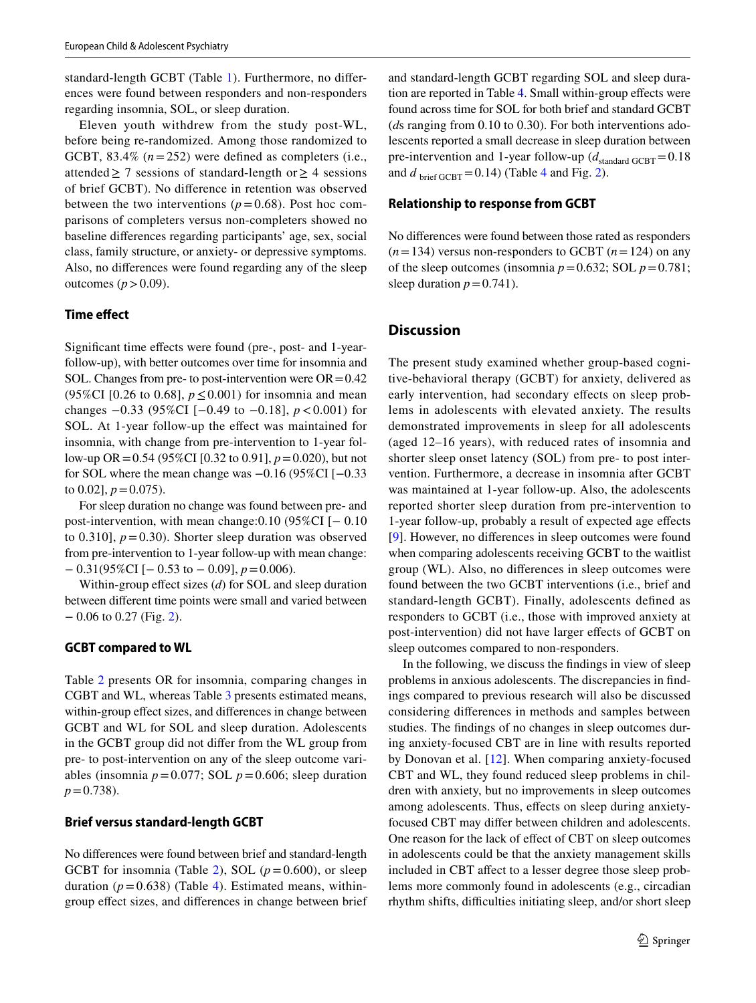standard-length GCBT (Table [1\)](#page-5-0). Furthermore, no diferences were found between responders and non-responders regarding insomnia, SOL, or sleep duration.

Eleven youth withdrew from the study post-WL, before being re-randomized. Among those randomized to GCBT, 83.4%  $(n=252)$  were defined as completers (i.e., attended  $\geq 7$  sessions of standard-length or  $\geq 4$  sessions of brief GCBT). No diference in retention was observed between the two interventions ( $p=0.68$ ). Post hoc comparisons of completers versus non-completers showed no baseline diferences regarding participants' age, sex, social class, family structure, or anxiety- or depressive symptoms. Also, no diferences were found regarding any of the sleep outcomes  $(p > 0.09)$ .

## **Time efect**

Signifcant time efects were found (pre-, post- and 1-yearfollow-up), with better outcomes over time for insomnia and SOL. Changes from pre- to post-intervention were  $OR = 0.42$ (95%CI [0.26 to 0.68],  $p \le 0.001$ ) for insomnia and mean changes −0.33 (95%CI [−0.49 to −0.18], *p*<0.001) for SOL. At 1-year follow-up the efect was maintained for insomnia, with change from pre-intervention to 1-year follow-up OR=0.54 (95%CI [0.32 to 0.91], *p*=0.020), but not for SOL where the mean change was −0.16 (95%CI [−0.33 to  $0.02$ ],  $p = 0.075$ ).

For sleep duration no change was found between pre- and post-intervention, with mean change:0.10 (95%CI [− 0.10 to 0.310],  $p = 0.30$ . Shorter sleep duration was observed from pre-intervention to 1-year follow-up with mean change: − 0.31(95%CI [− 0.53 to − 0.09], *p*=0.006).

Within-group efect sizes (*d*) for SOL and sleep duration between diferent time points were small and varied between − 0.06 to 0.27 (Fig. [2\)](#page-9-0).

#### **GCBT compared to WL**

Table [2](#page-10-0) presents OR for insomnia, comparing changes in CGBT and WL, whereas Table [3](#page-10-1) presents estimated means, within-group efect sizes, and diferences in change between GCBT and WL for SOL and sleep duration. Adolescents in the GCBT group did not difer from the WL group from pre- to post-intervention on any of the sleep outcome variables (insomnia  $p = 0.077$ ; SOL  $p = 0.606$ ; sleep duration  $p = 0.738$ .

#### **Brief versus standard‑length GCBT**

No diferences were found between brief and standard-length GCBT for insomnia (Table [2\)](#page-10-0), SOL  $(p=0.600)$ , or sleep duration  $(p=0.638)$  (Table [4\)](#page-11-0). Estimated means, withingroup efect sizes, and diferences in change between brief and standard-length GCBT regarding SOL and sleep duration are reported in Table [4.](#page-11-0) Small within-group efects were found across time for SOL for both brief and standard GCBT (*d*s ranging from 0.10 to 0.30). For both interventions adolescents reported a small decrease in sleep duration between pre-intervention and 1-year follow-up  $(d_{\text{standard GCBT}}=0.18$ and  $d_{\text{brief GCBT}} = 0.14$ ) (Table [4](#page-11-0) and Fig. [2](#page-9-0)).

#### **Relationship to response from GCBT**

No diferences were found between those rated as responders  $(n=134)$  versus non-responders to GCBT  $(n=124)$  on any of the sleep outcomes (insomnia  $p=0.632$ ; SOL  $p=0.781$ ; sleep duration  $p=0.741$ ).

## **Discussion**

The present study examined whether group-based cognitive-behavioral therapy (GCBT) for anxiety, delivered as early intervention, had secondary effects on sleep problems in adolescents with elevated anxiety. The results demonstrated improvements in sleep for all adolescents (aged 12–16 years), with reduced rates of insomnia and shorter sleep onset latency (SOL) from pre- to post intervention. Furthermore, a decrease in insomnia after GCBT was maintained at 1-year follow-up. Also, the adolescents reported shorter sleep duration from pre-intervention to 1-year follow-up, probably a result of expected age efects [[9\]](#page-13-0). However, no diferences in sleep outcomes were found when comparing adolescents receiving GCBT to the waitlist group (WL). Also, no diferences in sleep outcomes were found between the two GCBT interventions (i.e., brief and standard-length GCBT). Finally, adolescents defned as responders to GCBT (i.e., those with improved anxiety at post-intervention) did not have larger efects of GCBT on sleep outcomes compared to non-responders.

In the following, we discuss the fndings in view of sleep problems in anxious adolescents. The discrepancies in fndings compared to previous research will also be discussed considering diferences in methods and samples between studies. The fndings of no changes in sleep outcomes during anxiety-focused CBT are in line with results reported by Donovan et al. [[12](#page-13-13)]. When comparing anxiety-focused CBT and WL, they found reduced sleep problems in children with anxiety, but no improvements in sleep outcomes among adolescents. Thus, effects on sleep during anxietyfocused CBT may difer between children and adolescents. One reason for the lack of efect of CBT on sleep outcomes in adolescents could be that the anxiety management skills included in CBT afect to a lesser degree those sleep problems more commonly found in adolescents (e.g., circadian rhythm shifts, difficulties initiating sleep, and/or short sleep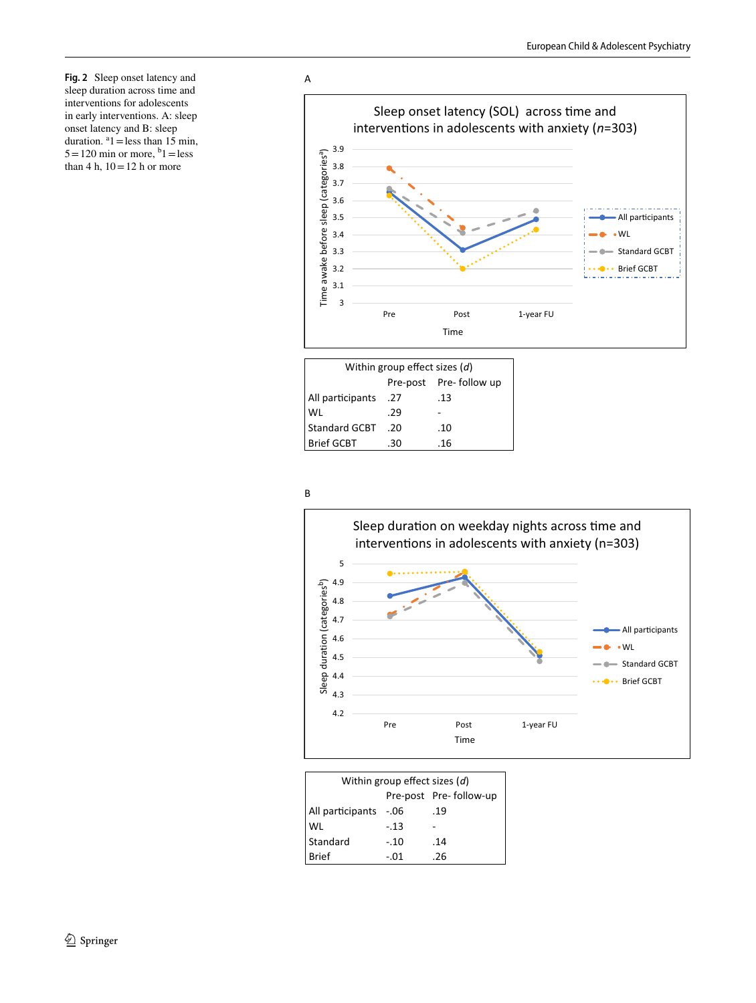<span id="page-9-0"></span>**Fig. 2** Sleep onset latency and sleep duration across time and interventions for adolescents in early interventions. A: sleep onset latency and B: sleep duration.  $a_1$  = less than 15 min,  $5 = 120$  min or more,  $b_1 =$ less than 4 h,  $10 = 12$  h or more



| Within group effect sizes $(d)$ |     |     |  |  |  |  |  |  |  |
|---------------------------------|-----|-----|--|--|--|--|--|--|--|
| Pre-post Pre-follow up          |     |     |  |  |  |  |  |  |  |
| All participants .27            |     | .13 |  |  |  |  |  |  |  |
| WL                              | .29 |     |  |  |  |  |  |  |  |
| Standard GCBT .20               |     | .10 |  |  |  |  |  |  |  |
| <b>Brief GCBT</b>               | .30 | -16 |  |  |  |  |  |  |  |





| Within group effect sizes (d) |        |     |  |  |  |  |  |  |
|-------------------------------|--------|-----|--|--|--|--|--|--|
| Pre-post Pre-follow-up        |        |     |  |  |  |  |  |  |
| All participants              | $-.06$ | .19 |  |  |  |  |  |  |
| WL                            | -.13   |     |  |  |  |  |  |  |
| Standard                      | $-.10$ | .14 |  |  |  |  |  |  |
| <b>Brief</b>                  | - 01   | -26 |  |  |  |  |  |  |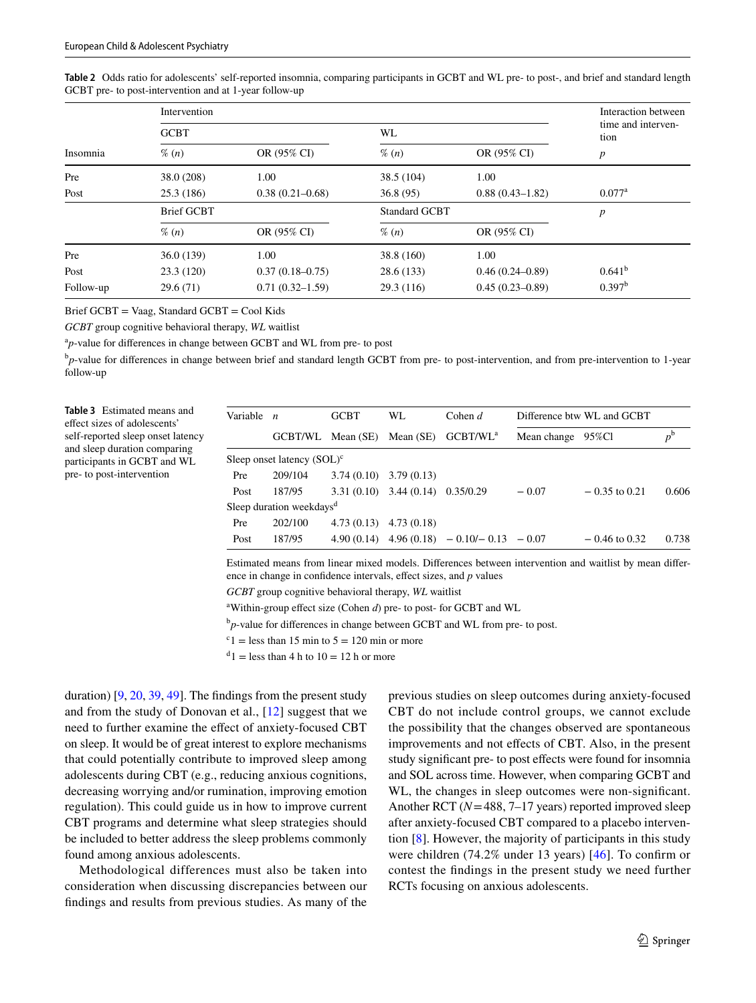<span id="page-10-0"></span>

| Table 2 Odds ratio for adolescents' self-reported insomnia, comparing participants in GCBT and WL pre- to post-, and brief and standard length |  |  |  |
|------------------------------------------------------------------------------------------------------------------------------------------------|--|--|--|
| GCBT pre- to post-intervention and at 1-year follow-up                                                                                         |  |  |  |

|           | Intervention      | Interaction between |                                 |                            |                    |
|-----------|-------------------|---------------------|---------------------------------|----------------------------|--------------------|
|           | <b>GCBT</b>       |                     | WL                              | time and interven-<br>tion |                    |
| Insomnia  | $\%$ (n)          | OR (95% CI)         | $\%$ $(n)$                      | OR (95% CI)                | $\boldsymbol{p}$   |
| Pre       | 38.0 (208)        | 1.00                | 38.5 (104)                      | 1.00                       |                    |
| Post      | 25.3(186)         | $0.38(0.21 - 0.68)$ | $0.88(0.43 - 1.82)$<br>36.8(95) |                            | $0.077^{\rm a}$    |
|           | <b>Brief GCBT</b> |                     | <b>Standard GCBT</b>            | p                          |                    |
|           | $\%$ (n)          | OR (95% CI)         | $\%$ (n)                        | OR (95% CI)                |                    |
| Pre       | 36.0(139)         | 1.00                | 38.8 (160)                      | 1.00                       |                    |
| Post      | 23.3(120)         | $0.37(0.18 - 0.75)$ | 28.6(133)                       | $0.46(0.24 - 0.89)$        | $0.641^{b}$        |
| Follow-up | 29.6(71)          | $0.71(0.32 - 1.59)$ | 29.3(116)                       | $0.45(0.23 - 0.89)$        | 0.397 <sup>b</sup> |

Brief GCBT = Vaag, Standard GCBT = Cool Kids

*GCBT* group cognitive behavioral therapy, *WL* waitlist

<sup>a</sup>p-value for differences in change between GCBT and WL from pre- to post

<sup>b</sup>p-value for differences in change between brief and standard length GCBT from pre- to post-intervention, and from pre-intervention to 1-year follow-up

<span id="page-10-1"></span>**Table 3** Estimated means and efect sizes of adolescents' self-reported sleep onset latency and sleep duration comparing participants in GCBT and WL pre- to post-intervention

| Variable $n$ |                                      | <b>GCBT</b>       | WL.                                   | Cohen $d$                                     | Difference btw WL and GCBT |                 |             |
|--------------|--------------------------------------|-------------------|---------------------------------------|-----------------------------------------------|----------------------------|-----------------|-------------|
|              |                                      | GCBT/WL Mean (SE) | Mean (SE)                             | GCBT/WL <sup>a</sup>                          | Mean change 95%Cl          |                 | $p^{\rm b}$ |
|              | Sleep onset latency $(SOL)^c$        |                   |                                       |                                               |                            |                 |             |
| Pre          | 209/104                              |                   | $3.74(0.10)$ $3.79(0.13)$             |                                               |                            |                 |             |
| Post         | 187/95                               |                   | $3.31(0.10)$ $3.44(0.14)$ $0.35/0.29$ |                                               | $-0.07$                    | $-0.35$ to 0.21 | 0.606       |
|              | Sleep duration weekdays <sup>d</sup> |                   |                                       |                                               |                            |                 |             |
| Pre          | 202/100                              |                   | $4.73(0.13)$ $4.73(0.18)$             |                                               |                            |                 |             |
| Post         | 187/95                               |                   |                                       | 4.90 (0.14) 4.96 (0.18) $-0.10/- 0.13 - 0.07$ |                            | $-0.46$ to 0.32 | 0.738       |

Estimated means from linear mixed models. Diferences between intervention and waitlist by mean diference in change in confdence intervals, efect sizes, and *p* values

*GCBT* group cognitive behavioral therapy, *WL* waitlist

<sup>a</sup>Within-group effect size (Cohen *d*) pre- to post- for GCBT and WL

<sup>b</sup>p-value for differences in change between GCBT and WL from pre- to post.

 $c<sup>c</sup>1$  = less than 15 min to 5 = 120 min or more

 $d_1$  = less than 4 h to  $10 = 12$  h or more

duration) [[9,](#page-13-0) [20](#page-13-4), [39,](#page-14-1) [49](#page-14-2)]. The fndings from the present study and from the study of Donovan et al., [\[12](#page-13-13)] suggest that we need to further examine the efect of anxiety-focused CBT on sleep. It would be of great interest to explore mechanisms that could potentially contribute to improved sleep among adolescents during CBT (e.g., reducing anxious cognitions, decreasing worrying and/or rumination, improving emotion regulation). This could guide us in how to improve current CBT programs and determine what sleep strategies should be included to better address the sleep problems commonly found among anxious adolescents.

Methodological differences must also be taken into consideration when discussing discrepancies between our fndings and results from previous studies. As many of the

previous studies on sleep outcomes during anxiety-focused CBT do not include control groups, we cannot exclude the possibility that the changes observed are spontaneous improvements and not efects of CBT. Also, in the present study signifcant pre- to post efects were found for insomnia and SOL across time. However, when comparing GCBT and WL, the changes in sleep outcomes were non-signifcant. Another RCT (*N*=488, 7–17 years) reported improved sleep after anxiety-focused CBT compared to a placebo intervention [[8\]](#page-13-11). However, the majority of participants in this study were children (74.2% under 13 years) [[46\]](#page-14-16). To confrm or contest the fndings in the present study we need further RCTs focusing on anxious adolescents.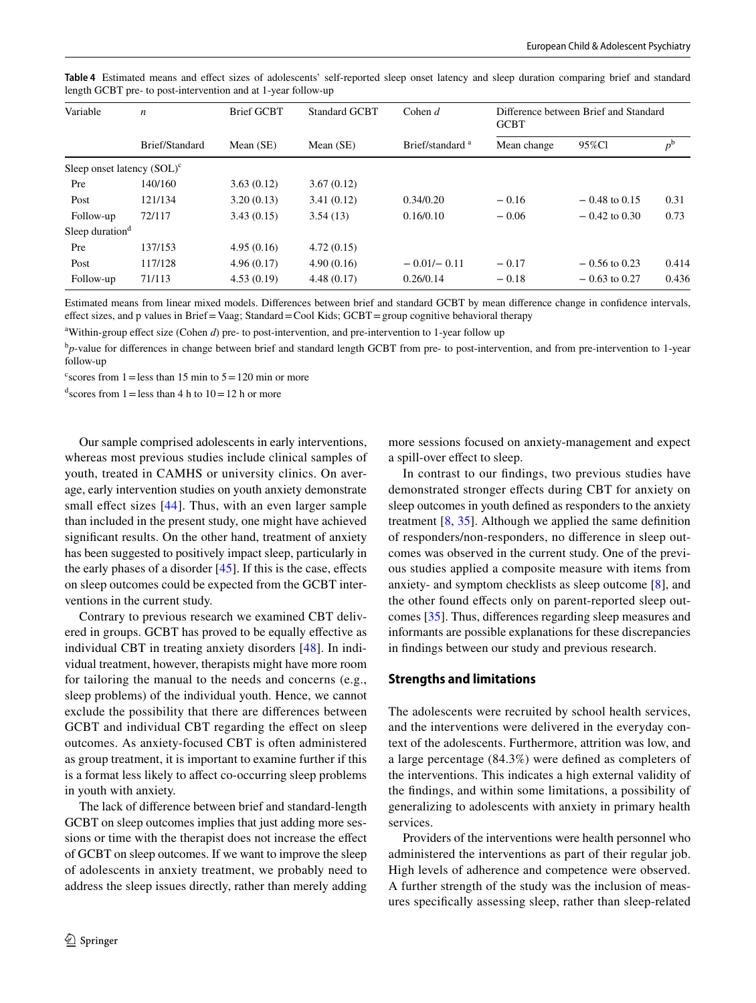| Variable                      | $\boldsymbol{n}$ | <b>Brief GCBT</b> | <b>Standard GCBT</b> | Cohen $d$                   | Difference between Brief and Standard<br><b>GCBT</b> |                 |             |  |
|-------------------------------|------------------|-------------------|----------------------|-----------------------------|------------------------------------------------------|-----------------|-------------|--|
|                               | Brief/Standard   | Mean $(SE)$       | Mean $(SE)$          | Brief/standard <sup>a</sup> | Mean change                                          | 95%Cl           | $p^{\rm b}$ |  |
| Sleep onset latency $(SOL)^c$ |                  |                   |                      |                             |                                                      |                 |             |  |
| Pre                           | 140/160          | 3.63(0.12)        | 3.67(0.12)           |                             |                                                      |                 |             |  |
| Post                          | 121/134          | 3.20(0.13)        | 3.41(0.12)           | 0.34/0.20                   | $-0.16$                                              | $-0.48$ to 0.15 | 0.31        |  |
| Follow-up                     | 72/117           | 3.43(0.15)        | 3.54(13)             | 0.16/0.10                   | $-0.06$                                              | $-0.42$ to 0.30 | 0.73        |  |
| Sleep duration $d$            |                  |                   |                      |                             |                                                      |                 |             |  |
| Pre                           | 137/153          | 4.95(0.16)        | 4.72(0.15)           |                             |                                                      |                 |             |  |
| Post                          | 117/128          | 4.96(0.17)        | 4.90(0.16)           | $-0.01/- 0.11$              | $-0.17$                                              | $-0.56$ to 0.23 | 0.414       |  |
| Follow-up                     | 71/113           | 4.53(0.19)        | 4.48(0.17)           | 0.26/0.14                   | $-0.18$                                              | $-0.63$ to 0.27 | 0.436       |  |

<span id="page-11-0"></span>**Table 4** Estimated means and efect sizes of adolescents' self-reported sleep onset latency and sleep duration comparing brief and standard length GCBT pre- to post-intervention and at 1-year follow-up

Estimated means from linear mixed models. Diferences between brief and standard GCBT by mean diference change in confdence intervals, efect sizes, and p values in Brief=Vaag; Standard=Cool Kids; GCBT=group cognitive behavioral therapy

<sup>a</sup>Within-group effect size (Cohen *d*) pre- to post-intervention, and pre-intervention to 1-year follow up

<sup>b</sup>p-value for differences in change between brief and standard length GCBT from pre- to post-intervention, and from pre-intervention to 1-year follow-up

<sup>c</sup> scores from  $1 =$  less than 15 min to  $5 = 120$  min or more

<sup>d</sup> scores from  $1 =$  less than 4 h to  $10 = 12$  h or more

Our sample comprised adolescents in early interventions, whereas most previous studies include clinical samples of youth, treated in CAMHS or university clinics. On average, early intervention studies on youth anxiety demonstrate small effect sizes [[44](#page-14-17)]. Thus, with an even larger sample than included in the present study, one might have achieved signifcant results. On the other hand, treatment of anxiety has been suggested to positively impact sleep, particularly in the early phases of a disorder  $[45]$  $[45]$  $[45]$ . If this is the case, effects on sleep outcomes could be expected from the GCBT interventions in the current study.

Contrary to previous research we examined CBT delivered in groups. GCBT has proved to be equally efective as individual CBT in treating anxiety disorders [\[48\]](#page-14-18). In individual treatment, however, therapists might have more room for tailoring the manual to the needs and concerns (e.g., sleep problems) of the individual youth. Hence, we cannot exclude the possibility that there are diferences between GCBT and individual CBT regarding the effect on sleep outcomes. As anxiety-focused CBT is often administered as group treatment, it is important to examine further if this is a format less likely to afect co-occurring sleep problems in youth with anxiety.

The lack of diference between brief and standard-length GCBT on sleep outcomes implies that just adding more sessions or time with the therapist does not increase the efect of GCBT on sleep outcomes. If we want to improve the sleep of adolescents in anxiety treatment, we probably need to address the sleep issues directly, rather than merely adding

more sessions focused on anxiety-management and expect a spill-over efect to sleep.

In contrast to our fndings, two previous studies have demonstrated stronger efects during CBT for anxiety on sleep outcomes in youth defned as responders to the anxiety treatment  $[8, 35]$  $[8, 35]$  $[8, 35]$ . Although we applied the same definition of responders/non-responders, no diference in sleep outcomes was observed in the current study. One of the previous studies applied a composite measure with items from anxiety- and symptom checklists as sleep outcome [\[8](#page-13-11)], and the other found efects only on parent-reported sleep outcomes [\[35](#page-14-6)]. Thus, diferences regarding sleep measures and informants are possible explanations for these discrepancies in fndings between our study and previous research.

#### **Strengths and limitations**

The adolescents were recruited by school health services, and the interventions were delivered in the everyday context of the adolescents. Furthermore, attrition was low, and a large percentage (84.3%) were defned as completers of the interventions. This indicates a high external validity of the fndings, and within some limitations, a possibility of generalizing to adolescents with anxiety in primary health services.

Providers of the interventions were health personnel who administered the interventions as part of their regular job. High levels of adherence and competence were observed. A further strength of the study was the inclusion of measures specifcally assessing sleep, rather than sleep-related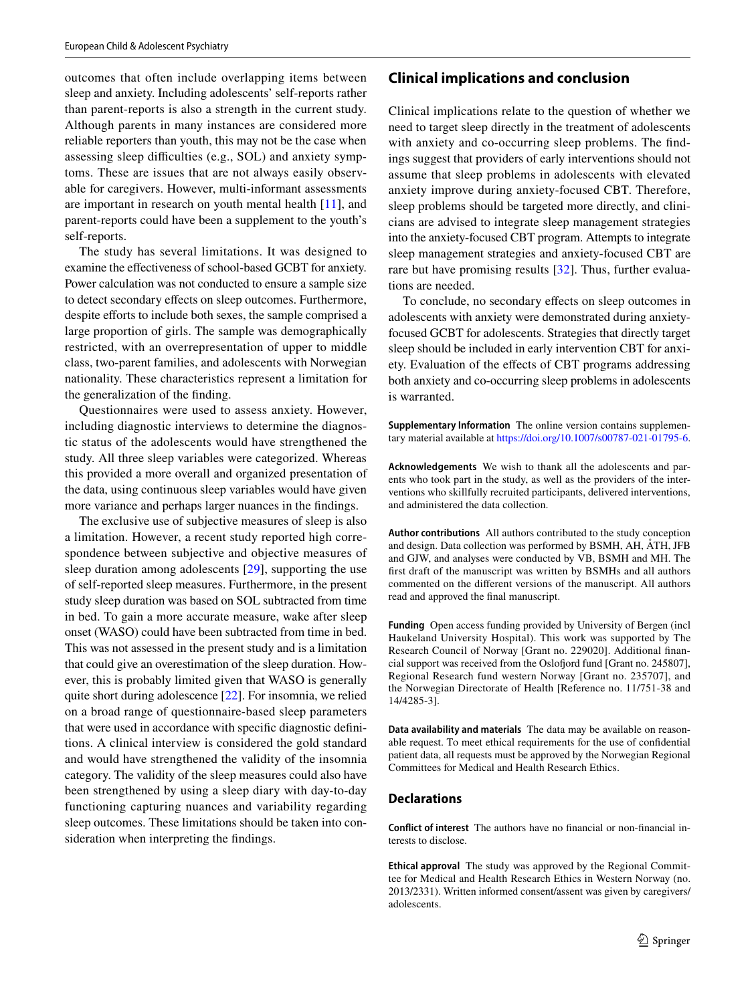outcomes that often include overlapping items between sleep and anxiety. Including adolescents' self-reports rather than parent-reports is also a strength in the current study. Although parents in many instances are considered more reliable reporters than youth, this may not be the case when assessing sleep difficulties (e.g., SOL) and anxiety symptoms. These are issues that are not always easily observable for caregivers. However, multi-informant assessments are important in research on youth mental health [[11\]](#page-13-29), and parent-reports could have been a supplement to the youth's self-reports.

The study has several limitations. It was designed to examine the efectiveness of school-based GCBT for anxiety. Power calculation was not conducted to ensure a sample size to detect secondary efects on sleep outcomes. Furthermore, despite efforts to include both sexes, the sample comprised a large proportion of girls. The sample was demographically restricted, with an overrepresentation of upper to middle class, two-parent families, and adolescents with Norwegian nationality. These characteristics represent a limitation for the generalization of the fnding.

Questionnaires were used to assess anxiety. However, including diagnostic interviews to determine the diagnostic status of the adolescents would have strengthened the study. All three sleep variables were categorized. Whereas this provided a more overall and organized presentation of the data, using continuous sleep variables would have given more variance and perhaps larger nuances in the fndings.

The exclusive use of subjective measures of sleep is also a limitation. However, a recent study reported high correspondence between subjective and objective measures of sleep duration among adolescents [[29](#page-13-30)], supporting the use of self-reported sleep measures. Furthermore, in the present study sleep duration was based on SOL subtracted from time in bed. To gain a more accurate measure, wake after sleep onset (WASO) could have been subtracted from time in bed. This was not assessed in the present study and is a limitation that could give an overestimation of the sleep duration. However, this is probably limited given that WASO is generally quite short during adolescence [[22](#page-13-25)]. For insomnia, we relied on a broad range of questionnaire-based sleep parameters that were used in accordance with specifc diagnostic defnitions. A clinical interview is considered the gold standard and would have strengthened the validity of the insomnia category. The validity of the sleep measures could also have been strengthened by using a sleep diary with day-to-day functioning capturing nuances and variability regarding sleep outcomes. These limitations should be taken into consideration when interpreting the fndings.

## **Clinical implications and conclusion**

Clinical implications relate to the question of whether we need to target sleep directly in the treatment of adolescents with anxiety and co-occurring sleep problems. The fndings suggest that providers of early interventions should not assume that sleep problems in adolescents with elevated anxiety improve during anxiety-focused CBT. Therefore, sleep problems should be targeted more directly, and clinicians are advised to integrate sleep management strategies into the anxiety-focused CBT program. Attempts to integrate sleep management strategies and anxiety-focused CBT are rare but have promising results [[32](#page-14-5)]. Thus, further evaluations are needed.

To conclude, no secondary efects on sleep outcomes in adolescents with anxiety were demonstrated during anxietyfocused GCBT for adolescents. Strategies that directly target sleep should be included in early intervention CBT for anxiety. Evaluation of the efects of CBT programs addressing both anxiety and co-occurring sleep problems in adolescents is warranted.

**Supplementary Information** The online version contains supplementary material available at<https://doi.org/10.1007/s00787-021-01795-6>.

**Acknowledgements** We wish to thank all the adolescents and parents who took part in the study, as well as the providers of the interventions who skillfully recruited participants, delivered interventions, and administered the data collection.

**Author contributions** All authors contributed to the study conception and design. Data collection was performed by BSMH, AH, ÅTH, JFB and GJW, and analyses were conducted by VB, BSMH and MH. The frst draft of the manuscript was written by BSMHs and all authors commented on the diferent versions of the manuscript. All authors read and approved the fnal manuscript.

**Funding** Open access funding provided by University of Bergen (incl Haukeland University Hospital). This work was supported by The Research Council of Norway [Grant no. 229020]. Additional fnancial support was received from the Osloford fund [Grant no. 245807], Regional Research fund western Norway [Grant no. 235707], and the Norwegian Directorate of Health [Reference no. 11/751-38 and 14/4285-3].

**Data availability and materials** The data may be available on reasonable request. To meet ethical requirements for the use of confdential patient data, all requests must be approved by the Norwegian Regional Committees for Medical and Health Research Ethics.

#### **Declarations**

**Conflict of interest** The authors have no fnancial or non-fnancial interests to disclose.

**Ethical approval** The study was approved by the Regional Committee for Medical and Health Research Ethics in Western Norway (no. 2013/2331). Written informed consent/assent was given by caregivers/ adolescents.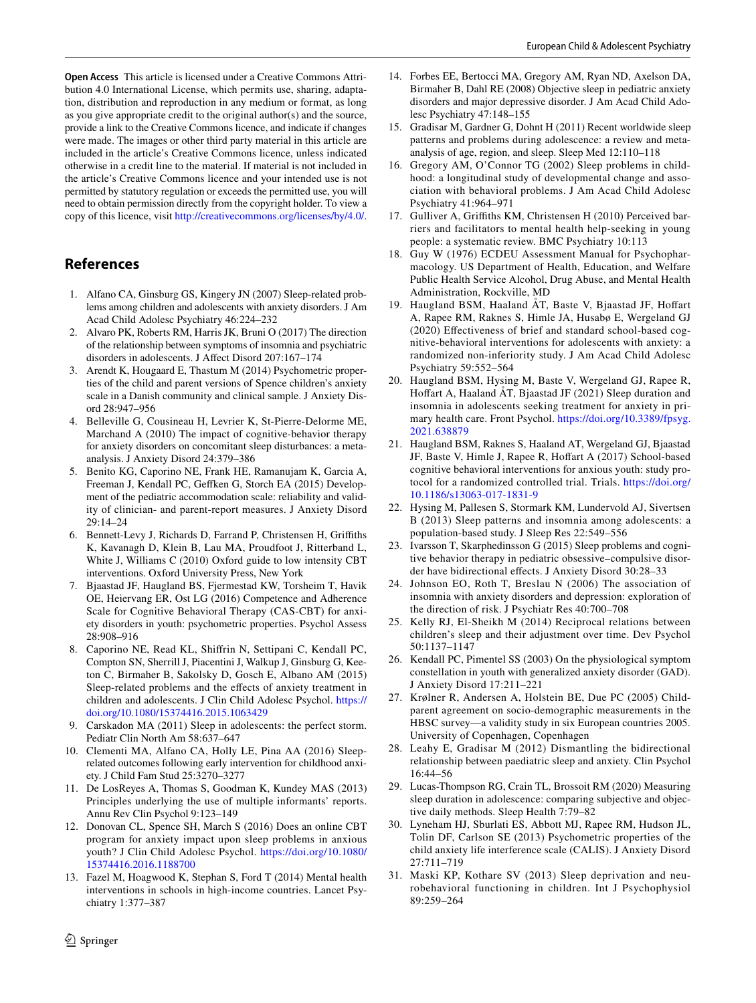**Open Access** This article is licensed under a Creative Commons Attribution 4.0 International License, which permits use, sharing, adaptation, distribution and reproduction in any medium or format, as long as you give appropriate credit to the original author(s) and the source, provide a link to the Creative Commons licence, and indicate if changes were made. The images or other third party material in this article are included in the article's Creative Commons licence, unless indicated otherwise in a credit line to the material. If material is not included in the article's Creative Commons licence and your intended use is not permitted by statutory regulation or exceeds the permitted use, you will need to obtain permission directly from the copyright holder. To view a copy of this licence, visit <http://creativecommons.org/licenses/by/4.0/>.

## **References**

- <span id="page-13-15"></span>1. Alfano CA, Ginsburg GS, Kingery JN (2007) Sleep-related problems among children and adolescents with anxiety disorders. J Am Acad Child Adolesc Psychiatry 46:224–232
- <span id="page-13-2"></span>2. Alvaro PK, Roberts RM, Harris JK, Bruni O (2017) The direction of the relationship between symptoms of insomnia and psychiatric disorders in adolescents. J Afect Disord 207:167–174
- <span id="page-13-27"></span>3. Arendt K, Hougaard E, Thastum M (2014) Psychometric properties of the child and parent versions of Spence children's anxiety scale in a Danish community and clinical sample. J Anxiety Disord 28:947–956
- <span id="page-13-10"></span>4. Belleville G, Cousineau H, Levrier K, St-Pierre-Delorme ME, Marchand A (2010) The impact of cognitive-behavior therapy for anxiety disorders on concomitant sleep disturbances: a metaanalysis. J Anxiety Disord 24:379–386
- <span id="page-13-16"></span>5. Benito KG, Caporino NE, Frank HE, Ramanujam K, Garcia A, Freeman J, Kendall PC, Gefken G, Storch EA (2015) Development of the pediatric accommodation scale: reliability and validity of clinician- and parent-report measures. J Anxiety Disord  $29.14 - 24$
- <span id="page-13-21"></span>6. Bennett-Levy J, Richards D, Farrand P, Christensen H, Grifths K, Kavanagh D, Klein B, Lau MA, Proudfoot J, Ritterband L, White J, Williams C (2010) Oxford guide to low intensity CBT interventions. Oxford University Press, New York
- <span id="page-13-24"></span>7. Bjaastad JF, Haugland BS, Fjermestad KW, Torsheim T, Havik OE, Heiervang ER, Ost LG (2016) Competence and Adherence Scale for Cognitive Behavioral Therapy (CAS-CBT) for anxiety disorders in youth: psychometric properties. Psychol Assess 28:908–916
- <span id="page-13-11"></span>8. Caporino NE, Read KL, Shifrin N, Settipani C, Kendall PC, Compton SN, Sherrill J, Piacentini J, Walkup J, Ginsburg G, Keeton C, Birmaher B, Sakolsky D, Gosch E, Albano AM (2015) Sleep-related problems and the efects of anxiety treatment in children and adolescents. J Clin Child Adolesc Psychol. [https://](https://doi.org/10.1080/15374416.2015.1063429) [doi.org/10.1080/15374416.2015.1063429](https://doi.org/10.1080/15374416.2015.1063429)
- <span id="page-13-0"></span>9. Carskadon MA (2011) Sleep in adolescents: the perfect storm. Pediatr Clin North Am 58:637–647
- <span id="page-13-12"></span>10. Clementi MA, Alfano CA, Holly LE, Pina AA (2016) Sleeprelated outcomes following early intervention for childhood anxiety. J Child Fam Stud 25:3270–3277
- <span id="page-13-29"></span>11. De LosReyes A, Thomas S, Goodman K, Kundey MAS (2013) Principles underlying the use of multiple informants' reports. Annu Rev Clin Psychol 9:123–149
- <span id="page-13-13"></span>12. Donovan CL, Spence SH, March S (2016) Does an online CBT program for anxiety impact upon sleep problems in anxious youth? J Clin Child Adolesc Psychol. [https://doi.org/10.1080/](https://doi.org/10.1080/15374416.2016.1188700) [15374416.2016.1188700](https://doi.org/10.1080/15374416.2016.1188700)
- <span id="page-13-18"></span>13. Fazel M, Hoagwood K, Stephan S, Ford T (2014) Mental health interventions in schools in high-income countries. Lancet Psychiatry 1:377–387
- <span id="page-13-3"></span>14. Forbes EE, Bertocci MA, Gregory AM, Ryan ND, Axelson DA, Birmaher B, Dahl RE (2008) Objective sleep in pediatric anxiety disorders and major depressive disorder. J Am Acad Child Adolesc Psychiatry 47:148–155
- <span id="page-13-1"></span>15. Gradisar M, Gardner G, Dohnt H (2011) Recent worldwide sleep patterns and problems during adolescence: a review and metaanalysis of age, region, and sleep. Sleep Med 12:110–118
- <span id="page-13-17"></span>16. Gregory AM, O'Connor TG (2002) Sleep problems in childhood: a longitudinal study of developmental change and association with behavioral problems. J Am Acad Child Adolesc Psychiatry 41:964–971
- <span id="page-13-19"></span>17. Gulliver A, Grifths KM, Christensen H (2010) Perceived barriers and facilitators to mental health help-seeking in young people: a systematic review. BMC Psychiatry 10:113
- <span id="page-13-28"></span>18. Guy W (1976) ECDEU Assessment Manual for Psychopharmacology. US Department of Health, Education, and Welfare Public Health Service Alcohol, Drug Abuse, and Mental Health Administration, Rockville, MD
- <span id="page-13-20"></span>19. Haugland BSM, Haaland ÅT, Baste V, Bjaastad JF, Hoffart A, Rapee RM, Raknes S, Himle JA, Husabø E, Wergeland GJ (2020) Efectiveness of brief and standard school-based cognitive-behavioral interventions for adolescents with anxiety: a randomized non-inferiority study. J Am Acad Child Adolesc Psychiatry 59:552–564
- <span id="page-13-4"></span>20. Haugland BSM, Hysing M, Baste V, Wergeland GJ, Rapee R, Hofart A, Haaland ÅT, Bjaastad JF (2021) Sleep duration and insomnia in adolescents seeking treatment for anxiety in primary health care. Front Psychol. [https://doi.org/10.3389/fpsyg.](https://doi.org/10.3389/fpsyg.2021.638879) [2021.638879](https://doi.org/10.3389/fpsyg.2021.638879)
- <span id="page-13-22"></span>21. Haugland BSM, Raknes S, Haaland AT, Wergeland GJ, Bjaastad JF, Baste V, Himle J, Rapee R, Hoffart A (2017) School-based cognitive behavioral interventions for anxious youth: study protocol for a randomized controlled trial. Trials. [https://doi.org/](https://doi.org/10.1186/s13063-017-1831-9) [10.1186/s13063-017-1831-9](https://doi.org/10.1186/s13063-017-1831-9)
- <span id="page-13-25"></span>22. Hysing M, Pallesen S, Stormark KM, Lundervold AJ, Sivertsen B (2013) Sleep patterns and insomnia among adolescents: a population-based study. J Sleep Res 22:549–556
- <span id="page-13-9"></span>23. Ivarsson T, Skarphedinsson G (2015) Sleep problems and cognitive behavior therapy in pediatric obsessive–compulsive disorder have bidirectional efects. J Anxiety Disord 30:28–33
- <span id="page-13-5"></span>24. Johnson EO, Roth T, Breslau N (2006) The association of insomnia with anxiety disorders and depression: exploration of the direction of risk. J Psychiatr Res 40:700–708
- <span id="page-13-6"></span>25. Kelly RJ, El-Sheikh M (2014) Reciprocal relations between children's sleep and their adjustment over time. Dev Psychol 50:1137–1147
- <span id="page-13-14"></span>26. Kendall PC, Pimentel SS (2003) On the physiological symptom constellation in youth with generalized anxiety disorder (GAD). J Anxiety Disord 17:211–221
- <span id="page-13-26"></span>27. Krølner R, Andersen A, Holstein BE, Due PC (2005) Childparent agreement on socio-demographic measurements in the HBSC survey—a validity study in six European countries 2005. University of Copenhagen, Copenhagen
- <span id="page-13-7"></span>28. Leahy E, Gradisar M (2012) Dismantling the bidirectional relationship between paediatric sleep and anxiety. Clin Psychol 16:44–56
- <span id="page-13-30"></span>29. Lucas-Thompson RG, Crain TL, Brossoit RM (2020) Measuring sleep duration in adolescence: comparing subjective and objective daily methods. Sleep Health 7:79–82
- <span id="page-13-23"></span>30. Lyneham HJ, Sburlati ES, Abbott MJ, Rapee RM, Hudson JL, Tolin DF, Carlson SE (2013) Psychometric properties of the child anxiety life interference scale (CALIS). J Anxiety Disord 27:711–719
- <span id="page-13-8"></span>31. Maski KP, Kothare SV (2013) Sleep deprivation and neurobehavioral functioning in children. Int J Psychophysiol 89:259–264